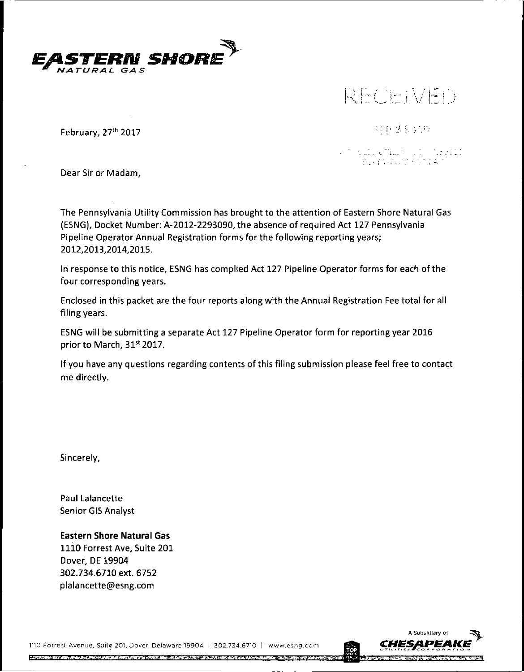

# *... )*

February, 27th 2017

非自分合分の

n alla etilla (11) deellit<br>Consensati totale

Dear Sir or Madam,

The Pennsylvania Utility Commission has brought to the attention of Eastern Shore Natural Gas (ESNG), Docket Number: A-2012-2293090, the absence of required Act 127 Pennsylvania Pipeline Operator Annual Registration forms for the following reporting years; 2012,2013,2014,2015.

In response to this notice, ESNG has complied Act 127 Pipeline Operator forms for each of the four corresponding years.

Enclosed in this packet are the four reports along with the Annual Registration Fee total for all filing years.

ESNG will be submitting a separate Act 127 Pipeline Operator form for reporting year 2016 prior to March, 31<sup>st</sup> 2017.

If you have any questions regarding contents of this filing submission please feel free to contact me directly.

Sincerely,

Paul Lalancette Senior GIS Analyst

**Eastern Shore Natural Gas** 1110 Forrest Ave, Suite 201 Dover, DE 19904 302.734.6710 ext. 6752 plalancette@esng.com

<sup>1110</sup> Forrest Avenue, Suite 201. Dover, Delaware 19904 <sup>|</sup> 302.734.6710 [ www.esng.com

**的复数形式 医心理 法法律法律 化乙酰基苯磺酸钠 医心包炎 医心包炎 医心包炎 医心包的 医血管炎 医中心性** 

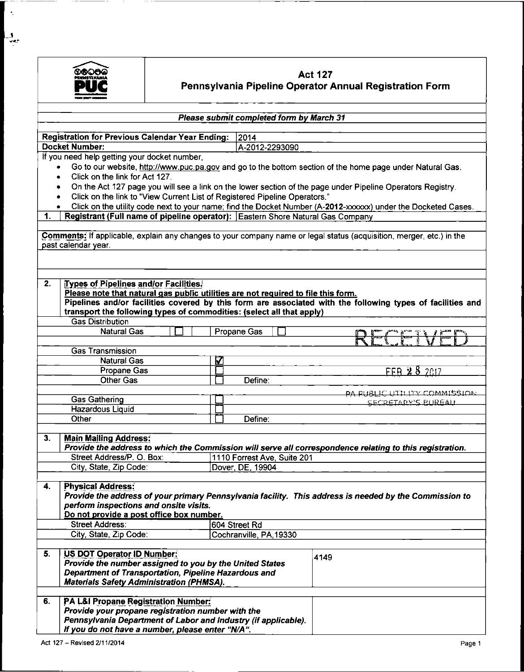

 $\hat{\mathcal{A}}$ 

 $\frac{1}{2}$ 

## **Act 127 Pennsylvania Pipeline Operator Annual Registration Form**

|           | Please submit completed form by March 31                                                                                                                                                                       |   |  |                             |  |                                                                                                             |  |
|-----------|----------------------------------------------------------------------------------------------------------------------------------------------------------------------------------------------------------------|---|--|-----------------------------|--|-------------------------------------------------------------------------------------------------------------|--|
|           |                                                                                                                                                                                                                |   |  |                             |  |                                                                                                             |  |
|           | <b>Registration for Previous Calendar Year Ending:</b>                                                                                                                                                         |   |  | 2014                        |  |                                                                                                             |  |
|           | <b>Docket Number:</b>                                                                                                                                                                                          |   |  | A-2012-2293090              |  |                                                                                                             |  |
|           | If you need help getting your docket number,                                                                                                                                                                   |   |  |                             |  | Go to our website, http://www.puc.pa.gov and go to the bottom section of the home page under Natural Gas.   |  |
| $\bullet$ | Click on the link for Act 127.                                                                                                                                                                                 |   |  |                             |  |                                                                                                             |  |
| $\bullet$ |                                                                                                                                                                                                                |   |  |                             |  |                                                                                                             |  |
|           |                                                                                                                                                                                                                |   |  |                             |  | On the Act 127 page you will see a link on the lower section of the page under Pipeline Operators Registry. |  |
|           | Click on the link to "View Current List of Registered Pipeline Operators."<br>$\bullet$<br>Click on the utility code next to your name; find the Docket Number (A-2012-xxxxxx) under the Docketed Cases.       |   |  |                             |  |                                                                                                             |  |
| 1.        | ٠<br>Registrant (Full name of pipeline operator): Eastern Shore Natural Gas Company                                                                                                                            |   |  |                             |  |                                                                                                             |  |
|           |                                                                                                                                                                                                                |   |  |                             |  |                                                                                                             |  |
|           | Comments: If applicable, explain any changes to your company name or legal status (acquisition, merger, etc.) in the<br>past calendar year.                                                                    |   |  |                             |  |                                                                                                             |  |
|           |                                                                                                                                                                                                                |   |  |                             |  |                                                                                                             |  |
| 2.        | Types of Pipelines and/or Facilities.                                                                                                                                                                          |   |  |                             |  |                                                                                                             |  |
|           | Please note that natural gas public utilities are not required to file this form.                                                                                                                              |   |  |                             |  |                                                                                                             |  |
|           |                                                                                                                                                                                                                |   |  |                             |  | Pipelines and/or facilities covered by this form are associated with the following types of facilities and  |  |
|           | transport the following types of commodities: (select all that apply)                                                                                                                                          |   |  |                             |  |                                                                                                             |  |
|           | <b>Gas Distribution</b>                                                                                                                                                                                        |   |  |                             |  |                                                                                                             |  |
|           | <b>Natural Gas</b>                                                                                                                                                                                             |   |  | Propane Gas                 |  |                                                                                                             |  |
|           |                                                                                                                                                                                                                |   |  |                             |  | CEWF                                                                                                        |  |
|           | <b>Gas Transmission</b>                                                                                                                                                                                        |   |  |                             |  |                                                                                                             |  |
|           | <b>Natural Gas</b>                                                                                                                                                                                             | K |  |                             |  |                                                                                                             |  |
|           | Propane Gas                                                                                                                                                                                                    |   |  |                             |  | FFB 28 2017                                                                                                 |  |
|           | <b>Other Gas</b>                                                                                                                                                                                               |   |  | Define:                     |  |                                                                                                             |  |
|           |                                                                                                                                                                                                                |   |  |                             |  | PA PUBLIC UTILITY COMMISSION                                                                                |  |
|           | <b>Gas Gathering</b>                                                                                                                                                                                           |   |  |                             |  | <b>SECRETARY'S BURGALL</b>                                                                                  |  |
|           | Hazardous Liquid                                                                                                                                                                                               |   |  |                             |  |                                                                                                             |  |
|           | Other                                                                                                                                                                                                          |   |  | Define:                     |  |                                                                                                             |  |
| 3.        |                                                                                                                                                                                                                |   |  |                             |  |                                                                                                             |  |
|           | <b>Main Mailing Address:</b>                                                                                                                                                                                   |   |  |                             |  | Provide the address to which the Commission will serve all correspondence relating to this registration.    |  |
|           | Street Address/P. O. Box:                                                                                                                                                                                      |   |  | 1110 Forrest Ave, Suite 201 |  |                                                                                                             |  |
|           | City, State, Zip Code:                                                                                                                                                                                         |   |  | Dover, DE, 19904            |  |                                                                                                             |  |
|           |                                                                                                                                                                                                                |   |  |                             |  |                                                                                                             |  |
| 4.        | <b>Physical Address:</b><br>perform inspections and onsite visits.<br>Do not provide a post office box number.                                                                                                 |   |  |                             |  | Provide the address of your primary Pennsylvania facility. This address is needed by the Commission to      |  |
|           | <b>Street Address:</b>                                                                                                                                                                                         |   |  | 604 Street Rd               |  |                                                                                                             |  |
|           | City, State, Zip Code:                                                                                                                                                                                         |   |  | Cochranville, PA, 19330     |  |                                                                                                             |  |
|           |                                                                                                                                                                                                                |   |  |                             |  |                                                                                                             |  |
| 5.        | US DOT Operator ID Number:<br>Provide the number assigned to you by the United States<br>Department of Transportation, Pipeline Hazardous and<br><b>Materials Safety Administration (PHMSA).</b>               |   |  |                             |  | 4149                                                                                                        |  |
|           |                                                                                                                                                                                                                |   |  |                             |  |                                                                                                             |  |
| 6.        | PA L&I Propane Registration Number:<br>Provide your propane registration number with the<br>Pennsylvania Department of Labor and Industry (if applicable).<br>If you do not have a number, please enter "N/A". |   |  |                             |  |                                                                                                             |  |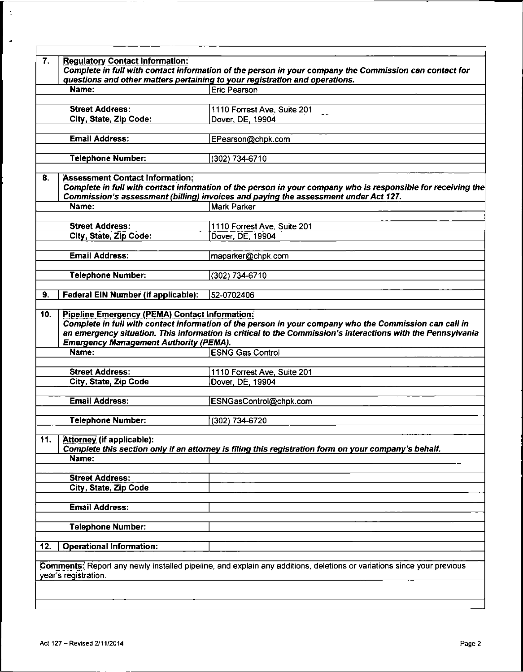|     | <b>Regulatory Contact Information:</b>        |                                                                                                                                                                                                     |
|-----|-----------------------------------------------|-----------------------------------------------------------------------------------------------------------------------------------------------------------------------------------------------------|
|     |                                               | Complete in full with contact information of the person in your company the Commission can contact for                                                                                              |
|     |                                               | questions and other matters pertaining to your registration and operations.                                                                                                                         |
|     | Name:                                         | Eric Pearson                                                                                                                                                                                        |
|     | <b>Street Address:</b>                        |                                                                                                                                                                                                     |
|     | City, State, Zip Code:                        | 1110 Forrest Ave, Suite 201<br>Dover, DE, 19904                                                                                                                                                     |
|     |                                               |                                                                                                                                                                                                     |
|     | <b>Email Address:</b>                         | EPearson@chpk.com                                                                                                                                                                                   |
|     |                                               |                                                                                                                                                                                                     |
|     | <b>Telephone Number:</b>                      | (302) 734-6710                                                                                                                                                                                      |
|     |                                               |                                                                                                                                                                                                     |
| 8.  | <b>Assessment Contact Information:</b>        |                                                                                                                                                                                                     |
|     |                                               | Complete in full with contact information of the person in your company who is responsible for receiving the<br>Commission's assessment (billing) invoices and paying the assessment under Act 127. |
|     | Name:                                         | <b>Mark Parker</b>                                                                                                                                                                                  |
|     |                                               |                                                                                                                                                                                                     |
|     | <b>Street Address:</b>                        | 1110 Forrest Ave, Suite 201                                                                                                                                                                         |
|     | City, State, Zip Code:                        | Dover, DE, 19904                                                                                                                                                                                    |
|     |                                               |                                                                                                                                                                                                     |
|     | <b>Email Address:</b>                         | maparker@chpk.com                                                                                                                                                                                   |
|     |                                               |                                                                                                                                                                                                     |
|     | <b>Telephone Number:</b>                      | (302) 734-6710                                                                                                                                                                                      |
|     |                                               |                                                                                                                                                                                                     |
| 9.  | Federal EIN Number (if applicable):           | 52-0702406                                                                                                                                                                                          |
|     |                                               | Complete in full with contact information of the person in your company who the Commission can call in                                                                                              |
|     | <b>Emergency Management Authority (PEMA).</b> | an emergency situation. This information is critical to the Commission's interactions with the Pennsylvania                                                                                         |
|     | Name:                                         | <b>ESNG Gas Control</b>                                                                                                                                                                             |
|     |                                               |                                                                                                                                                                                                     |
|     | <b>Street Address:</b>                        | 1110 Forrest Ave, Suite 201                                                                                                                                                                         |
|     | City, State, Zip Code                         | Dover, DE, 19904                                                                                                                                                                                    |
|     | <b>Email Address:</b>                         | ESNGasControl@chpk.com                                                                                                                                                                              |
|     |                                               |                                                                                                                                                                                                     |
|     | <b>Telephone Number:</b>                      | (302) 734-6720                                                                                                                                                                                      |
|     |                                               |                                                                                                                                                                                                     |
| 11. | Attorney (if applicable):                     |                                                                                                                                                                                                     |
|     | Name:                                         | Complete this section only if an attorney is filing this registration form on your company's behalf.                                                                                                |
|     |                                               |                                                                                                                                                                                                     |
|     | <b>Street Address:</b>                        |                                                                                                                                                                                                     |
|     | City, State, Zip Code                         |                                                                                                                                                                                                     |
|     |                                               |                                                                                                                                                                                                     |
|     | <b>Email Address:</b>                         |                                                                                                                                                                                                     |
|     |                                               |                                                                                                                                                                                                     |
|     | <b>Telephone Number:</b>                      |                                                                                                                                                                                                     |
|     |                                               |                                                                                                                                                                                                     |
| 12. | <b>Operational Information:</b>               |                                                                                                                                                                                                     |
|     |                                               |                                                                                                                                                                                                     |
|     | year's registration.                          | Comments: Report any newly installed pipeline, and explain any additions, deletions or variations since your previous                                                                               |
|     |                                               |                                                                                                                                                                                                     |

 $\vert \cdot$ 

 $\tilde{\mathcal{L}}$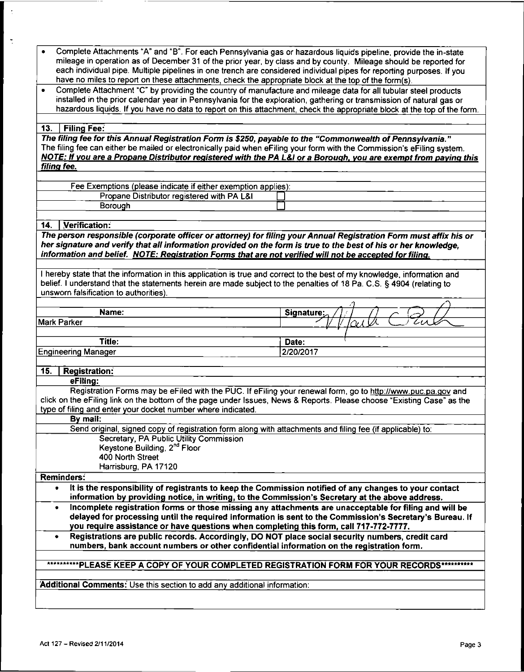| Complete Attachments "A" and "B". For each Pennsylvania gas or hazardous liquids pipeline, provide the in-state       |
|-----------------------------------------------------------------------------------------------------------------------|
| mileage in operation as of December 31 of the prior year, by class and by county. Mileage should be reported for      |
| each individual pipe. Multiple pipelines in one trench are considered individual pipes for reporting purposes. If you |
| have no miles to report on these attachments, check the appropriate block at the top of the form(s).                  |

• Complete Attachment "C" by providing the country of manufacture and mileage data for all tubular steel products installed in the prior calendar year in Pennsylvania for the exploration, gathering or transmission of natural gas or hazardous liquids. If you have no data to report on this attachment, check the appropriate block at the top of the form.

#### **13. <sup>|</sup> Filing Fee:**

*The filing fee for this Annual Registration Form is \$250, payable to the "Commonwealth of Pennsylvania."* The filing fee can either be mailed or electronically paid when eFiling your form with the Commission's eFiling system. NOTE: If you are a Propane Distributor registered with the PA L&I or a Borough, you are exempt from paying this *filing fee.*

| Fee Exemptions (please indicate if either exemption applies): |  |  |
|---------------------------------------------------------------|--|--|
| Propane Distributor registered with PA L&I                    |  |  |
| Borouar                                                       |  |  |

#### **14. Verification:**

The person responsible (corporate officer or attorney) for filling your Annual Registration Form must affix his or her signature and verify that all information provided on the form is true to the best of his or her knowledge. *information and belief. NOTE: Registration Forms that are not verified will not be accepted forfiling.*

<sup>I</sup> hereby state that the information in this application is true and correct to the best of my knowledge, information and belief. I understand that the statements herein are made subject to the penalties of 18 Pa. C.S. § 4904 (relating to unsworn falsification to authorities).

| unsworn raisingation to authorities). |            |
|---------------------------------------|------------|
|                                       |            |
| Name:                                 | Signature: |
| Mark Parker                           | cue        |
|                                       |            |
| Title:                                | Date:      |

Engineering Manager 2/20/2017

**15. <sup>|</sup> Registration: eFiling:**

Registration Forms may be eFiled with the PUC. If eFiling your renewal form, go to http://www.puc.pa.gov and click on the eFiling link on the bottom of the page under Issues, News & Reports. Please choose "Existing Case" as the type of filing and enter your docket number where indicated.

**By mail:**

| $-1$ inch.                                                                                                |  |
|-----------------------------------------------------------------------------------------------------------|--|
| Send original, signed copy of registration form along with attachments and filing fee (if applicable) to: |  |
| Secretary, PA Public Utility Commission                                                                   |  |
| Keystone Building, 2 <sup>nd</sup> Floor                                                                  |  |
| 400 North Street                                                                                          |  |
| Harrisburg, PA 17120                                                                                      |  |
|                                                                                                           |  |

**Reminders:**

**• It is the responsibility of registrants to keep the Commission notified of any changes to your contact information by providing notice, in writing, to the Commission's Secretary at the above address.**

- **Incomplete registration forms or those missing any attachments are unacceptable for filing and will be delayed for processing until the required information is sent to the Commission's Secretary's Bureau. If you require assistance or have questions when completing this form, call 717-772-7777.**
- **Registrations are public records. Accordingly, DO NOT place social security numbers, credit card numbers, bank account numbers or other confidential information on the registration form.**

### **'\*\*'\*\*\*\*\*\*PLEASE KEER <sup>A</sup> COPY OF YOUR COMPLET£D RBGISTRATION FORM FOR YOUR RECORDS'\*\*\*\*\*\*\*\*\***

**Additional Comments:** Use this section to add any additional information: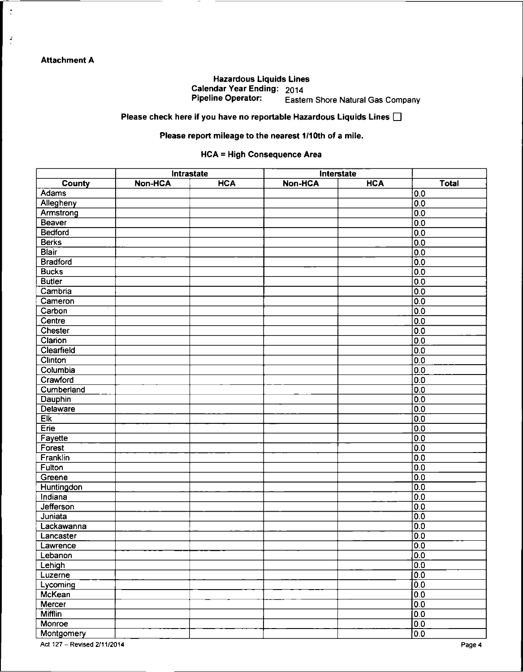$\mathbb{R}$ 

 $\frac{3}{2}$ 

#### Hazardous Liquids Lines Calendar Year Ending: 2014<br>Pipeline Operator: Faste Eastern Shore Natural Gas Company

Please check here if you have no reportable Hazardous Liquids Lines  $\square$ 

#### Please report mileage to the nearest 1/10th of a mile.

#### HCA = High Consequence Area

|                 |                | Intrastate |                | Interstate |                  |
|-----------------|----------------|------------|----------------|------------|------------------|
| County          | <b>Non-HCA</b> | <b>HCA</b> | <b>Non-HCA</b> | <b>HCA</b> | <b>Total</b>     |
| Adams           |                |            |                |            | 0.0              |
| Allegheny       |                |            |                |            | $\overline{0.0}$ |
| Armstrong       |                |            |                |            | $\overline{0.0}$ |
| Beaver          |                |            |                |            | 0.0              |
| <b>Bedford</b>  |                |            |                |            | 0.0              |
| <b>Berks</b>    |                |            |                |            | 0.0              |
| <b>Blair</b>    |                |            |                |            | $\overline{0.0}$ |
| <b>Bradford</b> |                |            |                |            | 0.0              |
| <b>Bucks</b>    |                |            |                |            | 0.0              |
| <b>Butler</b>   |                |            |                |            | 0.0              |
| Cambria         |                |            |                |            | 0.0              |
| Cameron         |                |            |                |            | $\overline{0.0}$ |
| Carbon          |                |            |                |            | 0.0              |
| Centre          |                |            |                |            | 0.0              |
| Chester         |                |            |                |            | 0.0              |
| Clarion         |                |            |                |            | 0.0              |
| Clearfield      |                |            |                |            | 0.0              |
| Clinton         |                |            |                |            | 0.0              |
| Columbia        |                |            |                |            | 0,0              |
| Crawford        |                |            |                |            | 0.0              |
| Cumberland      |                |            |                |            | 0.0              |
| Dauphin         |                |            |                |            | $\overline{0.0}$ |
| Delaware        |                |            |                |            | 0.0              |
| Elk             |                |            |                |            | 0.0              |
| Erie            |                |            |                |            | 0.0              |
| Fayette         |                |            |                |            | 0.0              |
| Forest          |                |            |                |            | 0.0              |
| Franklin        |                |            |                |            | 0.0              |
| Fulton          |                |            |                |            | 0.0              |
| Greene          |                |            |                |            | 0.0              |
| Huntingdon      |                |            |                |            | 0.0              |
| Indiana         |                |            |                |            | $\overline{0.0}$ |
| Jefferson       |                |            |                |            | 0.0              |
| Juniata         |                |            |                |            | 0.0              |
| Lackawanna      |                |            |                |            | 0.0              |
| Lancaster       |                |            |                |            | 0.0              |
| Lawrence        |                |            |                |            | 0.0              |
| Lebanon         |                |            |                |            | 0.0              |
| Lehigh          |                |            |                |            | $\overline{0.0}$ |
| Luzerne         |                |            |                |            | 0.0              |
| Lycoming        |                |            |                |            | $\overline{0.0}$ |
| <b>McKean</b>   |                |            |                |            | 0.0              |
| Mercer          |                |            |                |            |                  |
| <b>Mifflin</b>  |                |            |                |            | 0.0<br>0.0       |
|                 |                |            |                |            |                  |
| Monroe          |                |            |                |            | $\overline{0.0}$ |
| Montgomery      |                |            |                |            | $\overline{0.0}$ |

Act 127-Revised 2/11/2014 Page 4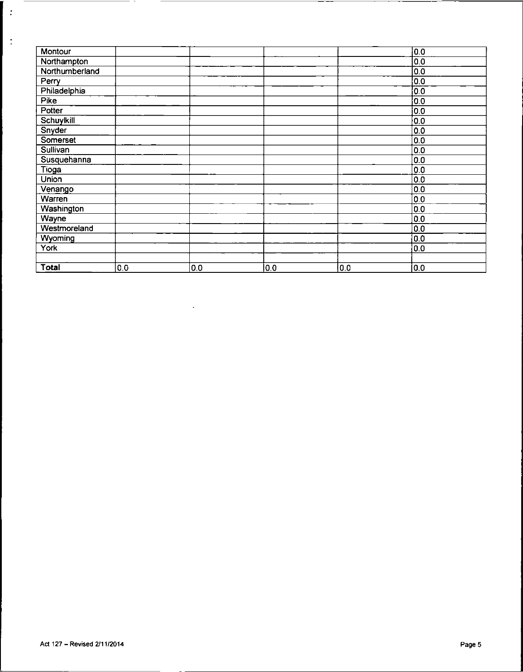| Montour           |     |     |     |     | 0.0 |
|-------------------|-----|-----|-----|-----|-----|
| Northampton       |     |     |     |     | 0.0 |
| Northumberland    |     |     |     |     | 0.0 |
| Perry             |     |     |     |     | 0.0 |
| Philadelphia      |     |     |     |     | 0.0 |
| Pike              |     |     |     |     | 0.0 |
| Potter            |     |     |     |     | 0.0 |
| Schuylkill        |     |     |     |     | 0.0 |
| Snyder            |     |     |     |     | 0.0 |
| Somerset          |     |     |     |     | 0.0 |
| Sullivan          |     |     |     |     | 0.0 |
| Susquehanna       |     |     |     |     | 0.0 |
| Tioga             |     |     |     |     | 0.0 |
| <b>Union</b>      |     |     |     |     | 0.0 |
| Venango           |     |     |     |     | 0.0 |
| Warren            |     |     |     |     | 0.0 |
| <b>Washington</b> |     |     |     |     | 0.0 |
| Wayne             |     |     |     |     | 0.0 |
| Westmoreland      |     |     |     |     | 0.0 |
| Wyoming           |     |     |     |     | 0.0 |
| York              |     |     |     |     | 0.0 |
|                   |     |     |     |     |     |
| <b>Total</b>      | 0.0 | 0.0 | 0.0 | 0.0 | 0.0 |

 $\sim 10^7$ 

 $\ddot{\cdot}$ 

 $\frac{1}{2}$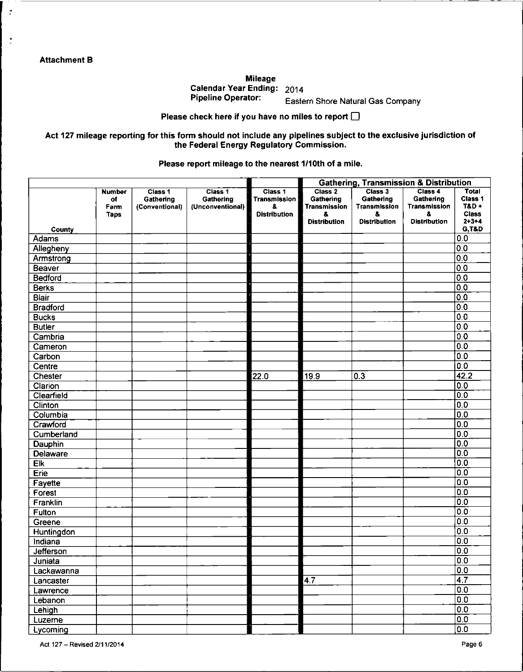$\cdot$ 

 $\frac{1}{2}$ 

Mileage Calendar Year Ending:  $2014$ <br>Pipeline Operator:

Eastern Shore Natural Gas Company

Please check here if you have no miles to report  $\square$ 

Act 127 mileage reporting for this form should not include any pipelines subject to the exclusive jurisdiction of the Federal Energy Regulatory Commission.

Please report mileage to the nearest 1/10th of a mile.

|                 |                                     |                                        |                                          | <b>Gathering, Transmission &amp; Distribution</b>           |                                                   |                                            |                                            |                                                         |  |
|-----------------|-------------------------------------|----------------------------------------|------------------------------------------|-------------------------------------------------------------|---------------------------------------------------|--------------------------------------------|--------------------------------------------|---------------------------------------------------------|--|
|                 | <b>Number</b><br>of<br>Farm<br>Taps | Class 1<br>Gathering<br>(Conventional) | Class 1<br>Gathering<br>(Unconventional) | Class 1<br><b>Transmission</b><br>8.<br><b>Distribution</b> | Class 2<br>Gathering<br><b>Transmission</b><br>8. | Class 3<br>Gathering<br>Transmission<br>8. | Class 4<br>Gathering<br>Transmission<br>8. | Total<br>Class 1<br>T&D+<br><b>Class</b><br>$2 + 3 - 4$ |  |
| County          |                                     |                                        |                                          |                                                             | <b>Distribution</b>                               | <b>Distribution</b>                        | <b>Distribution</b>                        | <b>G.T&amp;D</b>                                        |  |
| Adams           |                                     |                                        |                                          |                                                             |                                                   |                                            |                                            | 0.0                                                     |  |
| Allegheny       |                                     |                                        |                                          |                                                             |                                                   |                                            |                                            | 0.0                                                     |  |
| Armstrong       |                                     |                                        |                                          |                                                             |                                                   |                                            |                                            | 0.0                                                     |  |
| Beaver          |                                     |                                        |                                          |                                                             |                                                   |                                            |                                            | 0.0                                                     |  |
| <b>Bedford</b>  |                                     |                                        |                                          |                                                             |                                                   |                                            |                                            | 0.0                                                     |  |
| <b>Berks</b>    |                                     |                                        |                                          |                                                             |                                                   |                                            |                                            | 0.0                                                     |  |
| Blair           |                                     |                                        |                                          |                                                             |                                                   |                                            |                                            | 0.0                                                     |  |
| <b>Bradford</b> |                                     |                                        |                                          |                                                             |                                                   |                                            |                                            | 0.0                                                     |  |
| <b>Bucks</b>    |                                     |                                        |                                          |                                                             |                                                   |                                            |                                            | 0.0                                                     |  |
| <b>Butler</b>   |                                     |                                        |                                          |                                                             |                                                   |                                            |                                            | 0.0                                                     |  |
| Cambria         |                                     |                                        |                                          |                                                             |                                                   |                                            |                                            | 0.0                                                     |  |
| Cameron         |                                     |                                        |                                          |                                                             |                                                   |                                            |                                            | 0.0                                                     |  |
| Carbon          |                                     |                                        |                                          |                                                             |                                                   |                                            |                                            | 0.0                                                     |  |
| Centre          |                                     |                                        |                                          |                                                             |                                                   |                                            |                                            | $\overline{0.0}$                                        |  |
| Chester         |                                     |                                        |                                          | 22.0                                                        | 19.9                                              | 03                                         |                                            | 42.2                                                    |  |
| Clarion         |                                     |                                        |                                          |                                                             |                                                   |                                            |                                            | $\overline{0.0}$                                        |  |
| Clearfield      |                                     |                                        |                                          |                                                             |                                                   |                                            |                                            | 0.0                                                     |  |
| Clinton         |                                     |                                        |                                          |                                                             |                                                   |                                            |                                            | 0.0                                                     |  |
| Columbia        |                                     |                                        |                                          |                                                             |                                                   |                                            |                                            | 0.0                                                     |  |
| Crawford        |                                     |                                        |                                          |                                                             |                                                   |                                            |                                            | $\overline{0.0}$                                        |  |
| Cumberland      |                                     |                                        |                                          |                                                             |                                                   |                                            |                                            | $\overline{0.0}$                                        |  |
| Dauphin         |                                     |                                        |                                          |                                                             |                                                   |                                            |                                            | $\overline{0.0}$                                        |  |
| Delaware        |                                     |                                        |                                          |                                                             |                                                   |                                            |                                            | 0.0                                                     |  |
| Eik             |                                     |                                        |                                          |                                                             |                                                   |                                            |                                            | $\overline{0.0}$                                        |  |
| Erie            |                                     |                                        |                                          |                                                             |                                                   |                                            |                                            | $\overline{0.0}$                                        |  |
| Fayette         |                                     |                                        |                                          |                                                             |                                                   |                                            |                                            | $\overline{0.0}$                                        |  |
| Forest          |                                     |                                        |                                          |                                                             |                                                   |                                            |                                            | 0.0                                                     |  |
| Franklin        |                                     |                                        |                                          |                                                             |                                                   |                                            |                                            | 0.0                                                     |  |
| Fulton          |                                     |                                        |                                          |                                                             |                                                   |                                            |                                            | 0.0                                                     |  |
| Greene          |                                     |                                        |                                          |                                                             |                                                   |                                            |                                            | 0.0                                                     |  |
| Huntingdon      |                                     |                                        |                                          |                                                             |                                                   |                                            |                                            | 0.0                                                     |  |
| Indiana         |                                     |                                        |                                          |                                                             |                                                   |                                            |                                            | 0.0                                                     |  |
| Jefferson       |                                     |                                        |                                          |                                                             |                                                   |                                            |                                            | 0.0                                                     |  |
| Juniata         |                                     |                                        |                                          |                                                             |                                                   |                                            |                                            | $\overline{0.0}$                                        |  |
| Lackawanna      |                                     |                                        |                                          |                                                             |                                                   |                                            |                                            | $\overline{0.0}$                                        |  |
| Lancaster       |                                     |                                        |                                          |                                                             | $\overline{4.7}$                                  |                                            |                                            | $\overline{4.7}$                                        |  |
| Lawrence        |                                     |                                        |                                          |                                                             |                                                   |                                            |                                            | $\overline{0.0}$                                        |  |
| Lebanon         |                                     |                                        |                                          |                                                             |                                                   |                                            |                                            | $\overline{0.0}$                                        |  |
| Lehigh          |                                     |                                        |                                          |                                                             |                                                   |                                            |                                            | $\overline{0.0}$                                        |  |
| Luzerne         |                                     |                                        |                                          |                                                             |                                                   |                                            |                                            | $\overline{0.0}$                                        |  |
| Lycoming        |                                     |                                        |                                          |                                                             |                                                   |                                            |                                            | $\overline{0.0}$                                        |  |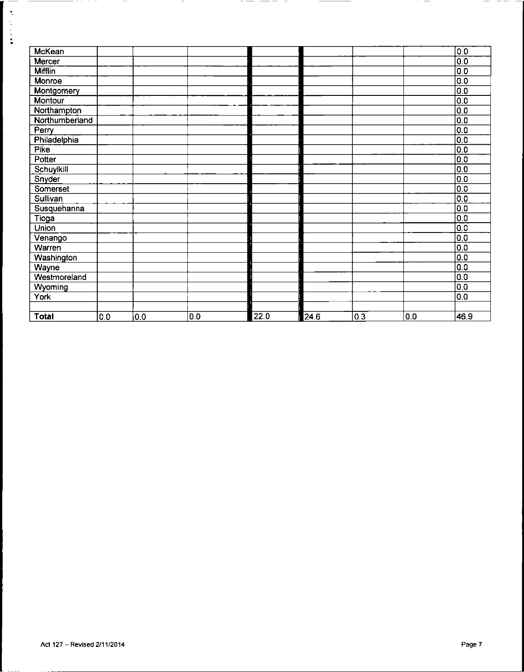| McKean         |     |     |     |      |      |     |     | 0 <sup>o</sup>   |
|----------------|-----|-----|-----|------|------|-----|-----|------------------|
| Mercer         |     |     |     |      |      |     |     | 0.0              |
| <b>Mifflin</b> |     |     |     |      |      |     |     | 0.0              |
| Monroe         |     |     |     |      |      |     |     | 0.0              |
| Montgomery     |     |     |     |      |      |     |     | 0.0              |
| Montour        |     |     |     |      |      |     |     | 0.0              |
| Northampton    |     |     |     |      |      |     |     | 0.0              |
| Northumberland |     |     |     |      |      |     |     | 0.0              |
| Perry          |     |     |     |      |      |     |     | 0.0              |
| Philadelphia   |     |     |     |      |      |     |     | 0.0              |
| Pike           |     |     |     |      |      |     |     | 0.0              |
| Potter         |     |     |     |      |      |     |     | $\overline{0.0}$ |
| Schuylkill     |     |     |     |      |      |     |     | 0.0              |
| Snyder         |     |     |     |      |      |     |     | 0.0              |
| Somerset       |     |     |     |      |      |     |     | 0.0              |
| Sullivan       |     |     |     |      |      |     |     | 0.0              |
| Susquehanna    |     |     |     |      |      |     |     | 0.0              |
| Tioga          |     |     |     |      |      |     |     | 0.0              |
| Union          |     |     |     |      |      |     |     | 0.0              |
| Venango        |     |     |     |      |      |     |     | 0.0              |
| Warren         |     |     |     |      |      |     |     | 0.0              |
| Washington     |     |     |     |      |      |     |     | 0.0              |
| Wayne          |     |     |     |      |      |     |     | 0.0              |
| Westmoreland   |     |     |     |      |      |     |     | 0.0              |
| Wyoming        |     |     |     |      |      |     |     | 0.0              |
| York           |     |     |     |      |      |     |     | 0.0              |
|                |     |     |     |      |      |     |     |                  |
| <b>Total</b>   | 0.0 | 0.0 | 0.0 | 22.0 | 24.6 | 0.3 | 0.0 | 46.9             |

-- -- -

 $\overline{\phantom{a}}$ 

 $-\cdot$  $- -$ 

—————————

- --

 $\overline{\phantom{0}}$